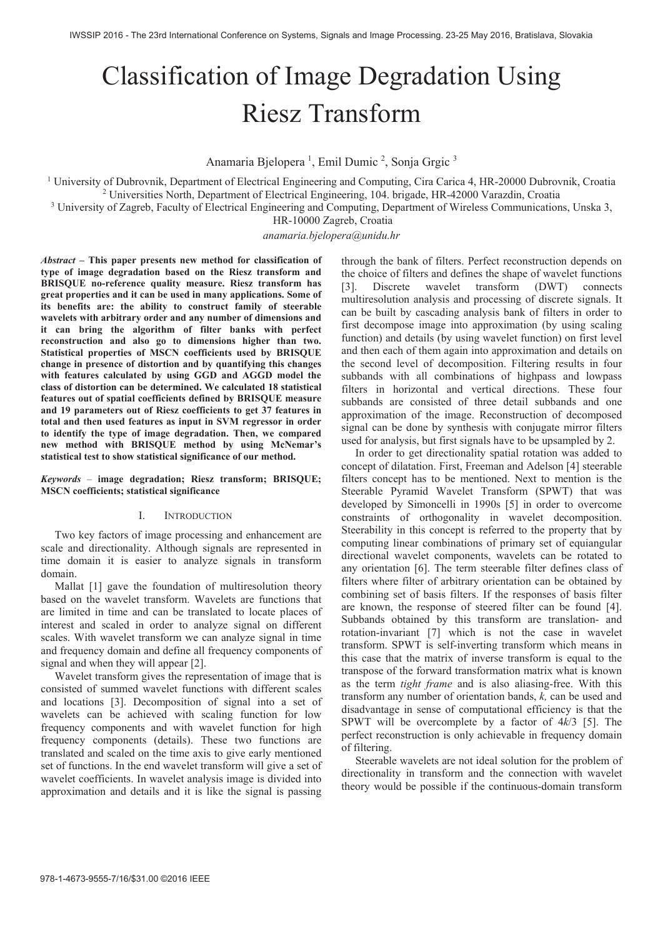# Classification of Image Degradation Using Riesz Transform

Anamaria Bjelopera<sup>1</sup>, Emil Dumic<sup>2</sup>, Sonja Grgic<sup>3</sup>

<sup>1</sup> University of Dubrovnik, Department of Electrical Engineering and Computing, Cira Carica 4, HR-20000 Dubrovnik, Croatia <sup>2</sup> Universities North Department of Electrical Engineering 104 briggde HR 42000 Varazdin, Croatia Universities North, Department of Electrical Engineering, 104. brigade, HR-42000 Varazdin, Croatia 3

<sup>3</sup> University of Zagreb, Faculty of Electrical Engineering and Computing, Department of Wireless Communications, Unska 3,

HR-10000 Zagreb, Croatia

# *anamaria.bjelopera@unidu.hr*

*Abstract* **– This paper presents new method for classification of type of image degradation based on the Riesz transform and BRISQUE no-reference quality measure. Riesz transform has great properties and it can be used in many applications. Some of its benefits are: the ability to construct family of steerable wavelets with arbitrary order and any number of dimensions and it can bring the algorithm of filter banks with perfect reconstruction and also go to dimensions higher than two. Statistical properties of MSCN coefficients used by BRISQUE change in presence of distortion and by quantifying this changes with features calculated by using GGD and AGGD model the class of distortion can be determined. We calculated 18 statistical features out of spatial coefficients defined by BRISQUE measure and 19 parameters out of Riesz coefficients to get 37 features in total and then used features as input in SVM regressor in order to identify the type of image degradation. Then, we compared new method with BRISQUE method by using McNemar's statistical test to show statistical significance of our method.** 

*Keywords* – **image degradation; Riesz transform; BRISQUE; MSCN coefficients; statistical significance** 

# I. INTRODUCTION

 Two key factors of image processing and enhancement are scale and directionality. Although signals are represented in time domain it is easier to analyze signals in transform domain.

 Mallat [1] gave the foundation of multiresolution theory based on the wavelet transform. Wavelets are functions that are limited in time and can be translated to locate places of interest and scaled in order to analyze signal on different scales. With wavelet transform we can analyze signal in time and frequency domain and define all frequency components of signal and when they will appear [2].

 Wavelet transform gives the representation of image that is consisted of summed wavelet functions with different scales and locations [3]. Decomposition of signal into a set of wavelets can be achieved with scaling function for low frequency components and with wavelet function for high frequency components (details). These two functions are translated and scaled on the time axis to give early mentioned set of functions. In the end wavelet transform will give a set of wavelet coefficients. In wavelet analysis image is divided into approximation and details and it is like the signal is passing

through the bank of filters. Perfect reconstruction depends on the choice of filters and defines the shape of wavelet functions Discrete wavelet transform (DWT) connects multiresolution analysis and processing of discrete signals. It can be built by cascading analysis bank of filters in order to first decompose image into approximation (by using scaling function) and details (by using wavelet function) on first level and then each of them again into approximation and details on the second level of decomposition. Filtering results in four subbands with all combinations of highpass and lowpass filters in horizontal and vertical directions. These four subbands are consisted of three detail subbands and one approximation of the image. Reconstruction of decomposed signal can be done by synthesis with conjugate mirror filters used for analysis, but first signals have to be upsampled by 2.

 In order to get directionality spatial rotation was added to concept of dilatation. First, Freeman and Adelson [4] steerable filters concept has to be mentioned. Next to mention is the Steerable Pyramid Wavelet Transform (SPWT) that was developed by Simoncelli in 1990s [5] in order to overcome constraints of orthogonality in wavelet decomposition. Steerability in this concept is referred to the property that by computing linear combinations of primary set of equiangular directional wavelet components, wavelets can be rotated to any orientation [6]. The term steerable filter defines class of filters where filter of arbitrary orientation can be obtained by combining set of basis filters. If the responses of basis filter are known, the response of steered filter can be found [4]. Subbands obtained by this transform are translation- and rotation-invariant [7] which is not the case in wavelet transform. SPWT is self-inverting transform which means in this case that the matrix of inverse transform is equal to the transpose of the forward transformation matrix what is known as the term *tight frame* and is also aliasing-free. With this transform any number of orientation bands, *k,* can be used and disadvantage in sense of computational efficiency is that the SPWT will be overcomplete by a factor of 4*k*/3 [5]. The perfect reconstruction is only achievable in frequency domain of filtering.

 Steerable wavelets are not ideal solution for the problem of directionality in transform and the connection with wavelet theory would be possible if the continuous-domain transform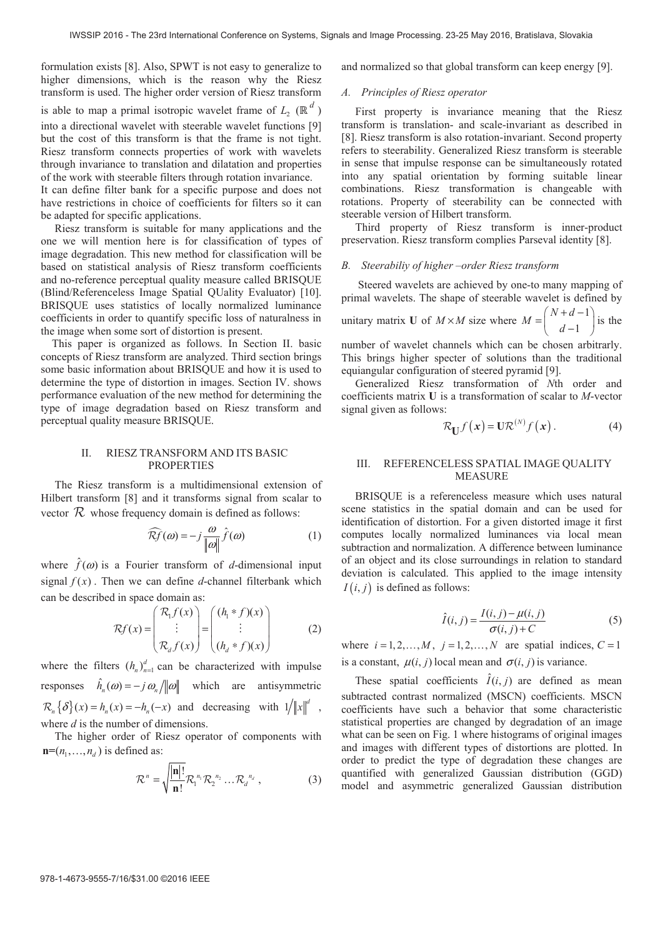formulation exists [8]. Also, SPWT is not easy to generalize to higher dimensions, which is the reason why the Riesz transform is used. The higher order version of Riesz transform is able to map a primal isotropic wavelet frame of  $L$ <sub>2</sub> ( $\mathbb{R}^d$ ) into a directional wavelet with steerable wavelet functions [9] but the cost of this transform is that the frame is not tight. Riesz transform connects properties of work with wavelets through invariance to translation and dilatation and properties of the work with steerable filters through rotation invariance.

It can define filter bank for a specific purpose and does not have restrictions in choice of coefficients for filters so it can be adapted for specific applications.

 Riesz transform is suitable for many applications and the one we will mention here is for classification of types of image degradation. This new method for classification will be based on statistical analysis of Riesz transform coefficients and no-reference perceptual quality measure called BRISQUE (Blind/Referenceless Image Spatial QUality Evaluator) [10]. BRISQUE uses statistics of locally normalized luminance coefficients in order to quantify specific loss of naturalness in the image when some sort of distortion is present.

 This paper is organized as follows. In Section II. basic concepts of Riesz transform are analyzed. Third section brings some basic information about BRISQUE and how it is used to determine the type of distortion in images. Section IV. shows performance evaluation of the new method for determining the type of image degradation based on Riesz transform and perceptual quality measure BRISQUE.

## II. RIESZ TRANSFORM AND ITS BASIC PROPERTIES

 The Riesz transform is a multidimensional extension of Hilbert transform [8] and it transforms signal from scalar to vector  $\mathcal R$  whose frequency domain is defined as follows:

$$
\widehat{\mathcal{R}f}(\omega) = -j \frac{\omega}{\|\omega\|} \widehat{f}(\omega)
$$
 (1)

where  $\hat{f}(\omega)$  is a Fourier transform of *d*-dimensional input signal  $f(x)$ . Then we can define *d*-channel filterbank which can be described in space domain as:

$$
\mathcal{R}f(x) = \begin{pmatrix} \mathcal{R}_1 f(x) \\ \vdots \\ \mathcal{R}_d f(x) \end{pmatrix} = \begin{pmatrix} (h_1 * f)(x) \\ \vdots \\ (h_d * f)(x) \end{pmatrix}
$$
 (2)

where the filters  $(h_n)_{n=1}^d$  can be characterized with impulse responses  $\hat{h}_n(\omega) = -j \omega_n / ||\omega||$  which are antisymmetric  ${\mathcal{R}}_n \{\delta\}(x) = h_n(x) = -h_n(-x)$  and decreasing with  $1/||x||^d$ , where *d* is the number of dimensions.

 The higher order of Riesz operator of components with  $\mathbf{n} = (n_1, \ldots, n_n)$  is defined as:

$$
\mathcal{R}^n = \sqrt{\frac{|\mathbf{n}|!}{\mathbf{n}!}} \mathcal{R}_1^{n_1} \mathcal{R}_2^{n_2} \dots \mathcal{R}_d^{n_d},
$$
 (3)

and normalized so that global transform can keep energy [9].

## *A. Principles of Riesz operator*

 First property is invariance meaning that the Riesz transform is translation- and scale-invariant as described in [8]. Riesz transform is also rotation-invariant. Second property refers to steerability. Generalized Riesz transform is steerable in sense that impulse response can be simultaneously rotated into any spatial orientation by forming suitable linear combinations. Riesz transformation is changeable with rotations. Property of steerability can be connected with steerable version of Hilbert transform.

 Third property of Riesz transform is inner-product preservation. Riesz transform complies Parseval identity [8].

#### *B. Steerabiliy of higher –order Riesz transform*

 Steered wavelets are achieved by one-to many mapping of primal wavelets. The shape of steerable wavelet is defined by unitary matrix **U** of  $M \times M$  size where  $M = \begin{pmatrix} N+d-1 \\ 1 \end{pmatrix}$ 1  $M = \begin{pmatrix} N+d-1 \\ d-1 \end{pmatrix}$  is the

number of wavelet channels which can be chosen arbitrarly. This brings higher specter of solutions than the traditional equiangular configuration of steered pyramid [9].

 Generalized Riesz transformation of *N*th order and coefficients matrix **U** is a transformation of scalar to *M*-vector signal given as follows:

$$
\mathcal{R}_{\mathbf{U}}f(\mathbf{x}) = \mathbf{U}\mathcal{R}^{(N)}f(\mathbf{x}). \tag{4}
$$

## III. REFERENCELESS SPATIAL IMAGE QUALITY **MEASURE**

 BRISQUE is a referenceless measure which uses natural scene statistics in the spatial domain and can be used for identification of distortion. For a given distorted image it first computes locally normalized luminances via local mean subtraction and normalization. A difference between luminance of an object and its close surroundings in relation to standard deviation is calculated. This applied to the image intensity  $I(i, j)$  is defined as follows:

$$
\hat{I}(i, j) = \frac{I(i, j) - \mu(i, j)}{\sigma(i, j) + C}
$$
\n
$$
(5)
$$

where  $i = 1, 2, ..., M$ ,  $j = 1, 2, ..., N$  are spatial indices,  $C = 1$ is a constant,  $\mu(i, j)$  local mean and  $\sigma(i, j)$  is variance.

These spatial coefficients  $\hat{I}(i, j)$  are defined as mean subtracted contrast normalized (MSCN) coefficients. MSCN coefficients have such a behavior that some characteristic statistical properties are changed by degradation of an image what can be seen on Fig. 1 where histograms of original images and images with different types of distortions are plotted. In order to predict the type of degradation these changes are quantified with generalized Gaussian distribution (GGD) model and asymmetric generalized Gaussian distribution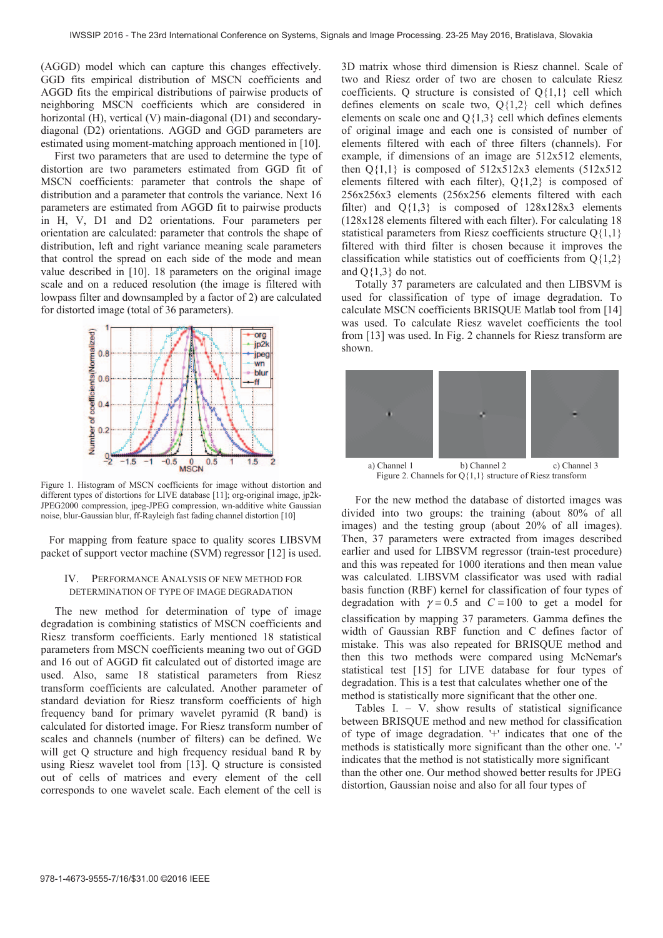(AGGD) model which can capture this changes effectively. GGD fits empirical distribution of MSCN coefficients and AGGD fits the empirical distributions of pairwise products of neighboring MSCN coefficients which are considered in horizontal (H), vertical (V) main-diagonal (D1) and secondarydiagonal (D2) orientations. AGGD and GGD parameters are estimated using moment-matching approach mentioned in [10].

 First two parameters that are used to determine the type of distortion are two parameters estimated from GGD fit of MSCN coefficients: parameter that controls the shape of distribution and a parameter that controls the variance. Next 16 parameters are estimated from AGGD fit to pairwise products in H, V, D1 and D2 orientations. Four parameters per orientation are calculated: parameter that controls the shape of distribution, left and right variance meaning scale parameters that control the spread on each side of the mode and mean value described in [10]. 18 parameters on the original image scale and on a reduced resolution (the image is filtered with lowpass filter and downsampled by a factor of 2) are calculated for distorted image (total of 36 parameters).



Figure 1. Histogram of MSCN coefficients for image without distortion and different types of distortions for LIVE database [11]; org-original image, jp2k-JPEG2000 compression, jpeg-JPEG compression, wn-additive white Gaussian noise, blur-Gaussian blur, ff-Rayleigh fast fading channel distortion [10]

 For mapping from feature space to quality scores LIBSVM packet of support vector machine (SVM) regressor [12] is used.

# IV. PERFORMANCE ANALYSIS OF NEW METHOD FOR DETERMINATION OF TYPE OF IMAGE DEGRADATION

 The new method for determination of type of image degradation is combining statistics of MSCN coefficients and Riesz transform coefficients. Early mentioned 18 statistical parameters from MSCN coefficients meaning two out of GGD and 16 out of AGGD fit calculated out of distorted image are used. Also, same 18 statistical parameters from Riesz transform coefficients are calculated. Another parameter of standard deviation for Riesz transform coefficients of high frequency band for primary wavelet pyramid (R band) is calculated for distorted image. For Riesz transform number of scales and channels (number of filters) can be defined. We will get Q structure and high frequency residual band R by using Riesz wavelet tool from [13]. Q structure is consisted out of cells of matrices and every element of the cell corresponds to one wavelet scale. Each element of the cell is

3D matrix whose third dimension is Riesz channel. Scale of two and Riesz order of two are chosen to calculate Riesz coefficients. Q structure is consisted of Q{1,1} cell which defines elements on scale two,  $Q\{1,2\}$  cell which defines elements on scale one and  $Q\{1,3\}$  cell which defines elements of original image and each one is consisted of number of elements filtered with each of three filters (channels). For example, if dimensions of an image are 512x512 elements, then  $Q\{1,1\}$  is composed of  $512x512x3$  elements  $(512x512$ elements filtered with each filter),  $Q\{1,2\}$  is composed of 256x256x3 elements (256x256 elements filtered with each filter) and  $Q{1,3}$  is composed of  $128x128x3$  elements (128x128 elements filtered with each filter). For calculating 18 statistical parameters from Riesz coefficients structure  $Q\{1,1\}$ filtered with third filter is chosen because it improves the classification while statistics out of coefficients from  $Q\{1,2\}$ and  $Q\{1,3\}$  do not.

 Totally 37 parameters are calculated and then LIBSVM is used for classification of type of image degradation. To calculate MSCN coefficients BRISQUE Matlab tool from [14] was used. To calculate Riesz wavelet coefficients the tool from [13] was used. In Fig. 2 channels for Riesz transform are shown.



a) Channel 1 b) Channel 2 c) Channel 3 Figure 2. Channels for  $Q\{1,1\}$  structure of Riesz transform

 For the new method the database of distorted images was divided into two groups: the training (about 80% of all images) and the testing group (about 20% of all images). Then, 37 parameters were extracted from images described earlier and used for LIBSVM regressor (train-test procedure) and this was repeated for 1000 iterations and then mean value was calculated. LIBSVM classificator was used with radial basis function (RBF) kernel for classification of four types of degradation with  $\gamma = 0.5$  and  $C = 100$  to get a model for classification by mapping 37 parameters. Gamma defines the width of Gaussian RBF function and C defines factor of mistake. This was also repeated for BRISQUE method and then this two methods were compared using McNemar's statistical test [15] for LIVE database for four types of degradation. This is a test that calculates whether one of the method is statistically more significant that the other one.

 Tables I. – V. show results of statistical significance between BRISQUE method and new method for classification of type of image degradation. '+' indicates that one of the methods is statistically more significant than the other one. '-' indicates that the method is not statistically more significant than the other one. Our method showed better results for JPEG distortion, Gaussian noise and also for all four types of